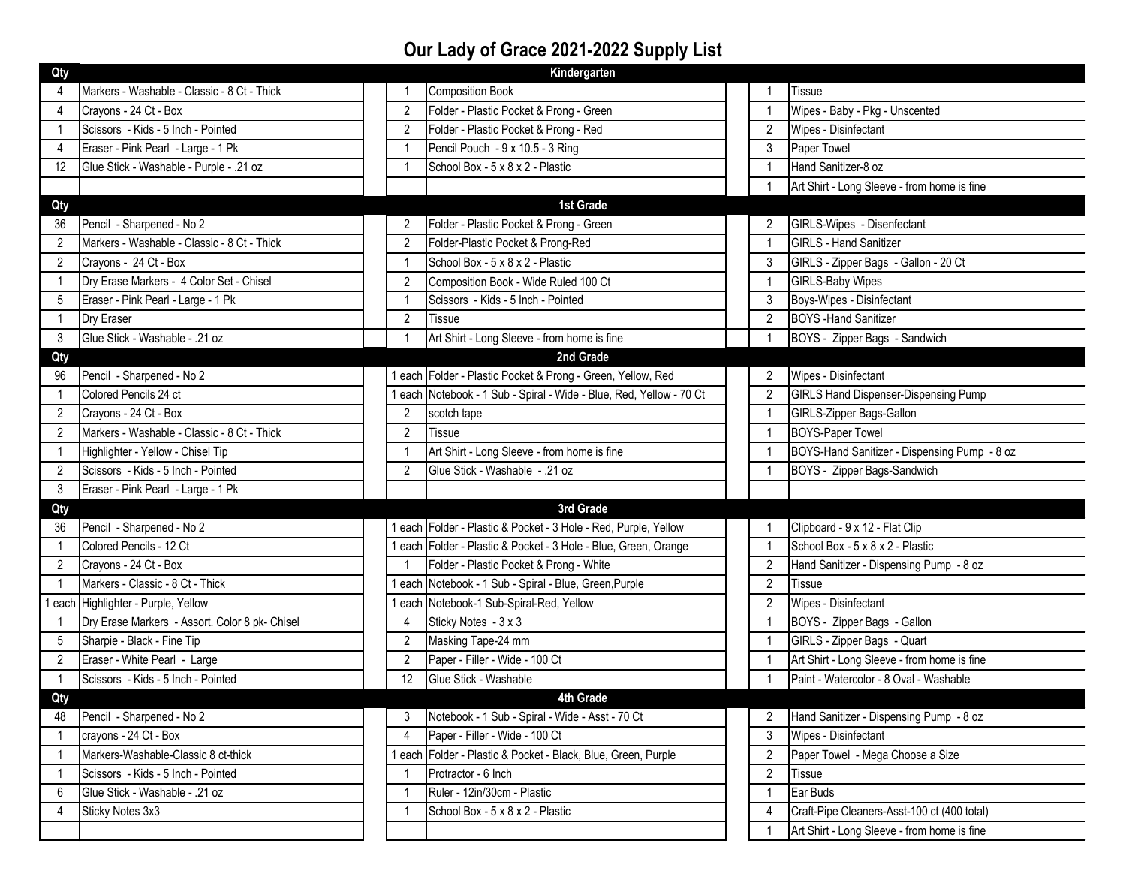## **Our Lady of Grace 2021-2022 Supply List**

| Kindergarten<br>Qty |                                                |                |                                                                   |  |                |                                              |  |  |  |
|---------------------|------------------------------------------------|----------------|-------------------------------------------------------------------|--|----------------|----------------------------------------------|--|--|--|
|                     | Markers - Washable - Classic - 8 Ct - Thick    |                | <b>Composition Book</b>                                           |  |                | <b>Tissue</b>                                |  |  |  |
| $\overline{4}$      | Crayons - 24 Ct - Box                          | 2              | Folder - Plastic Pocket & Prong - Green                           |  |                | Wipes - Baby - Pkg - Unscented               |  |  |  |
|                     | Scissors - Kids - 5 Inch - Pointed             | 2              | Folder - Plastic Pocket & Prong - Red                             |  | 2              | Wipes - Disinfectant                         |  |  |  |
| 4                   | Eraser - Pink Pearl - Large - 1 Pk             | $\overline{1}$ | Pencil Pouch - 9 x 10.5 - 3 Ring                                  |  | 3              | Paper Towel                                  |  |  |  |
| 12                  | Glue Stick - Washable - Purple - .21 oz        | $\mathbf{1}$   | School Box - 5 x 8 x 2 - Plastic                                  |  | 1              | Hand Sanitizer-8 oz                          |  |  |  |
|                     |                                                |                |                                                                   |  |                | Art Shirt - Long Sleeve - from home is fine  |  |  |  |
| Qty                 | 1st Grade                                      |                |                                                                   |  |                |                                              |  |  |  |
| 36                  | Pencil - Sharpened - No 2                      | 2              | Folder - Plastic Pocket & Prong - Green                           |  | 2              | GIRLS-Wipes - Disenfectant                   |  |  |  |
| 2                   | Markers - Washable - Classic - 8 Ct - Thick    | $\overline{2}$ | Folder-Plastic Pocket & Prong-Red                                 |  |                | <b>GIRLS - Hand Sanitizer</b>                |  |  |  |
| 2                   | Crayons - 24 Ct - Box                          | $\mathbf{1}$   | School Box - 5 x 8 x 2 - Plastic                                  |  | 3              | GIRLS - Zipper Bags - Gallon - 20 Ct         |  |  |  |
|                     | Dry Erase Markers - 4 Color Set - Chisel       | 2              | Composition Book - Wide Ruled 100 Ct                              |  | 1              | <b>GIRLS-Baby Wipes</b>                      |  |  |  |
| 5                   | Eraser - Pink Pearl - Large - 1 Pk             | $\mathbf{1}$   | Scissors - Kids - 5 Inch - Pointed                                |  | 3              | Boys-Wipes - Disinfectant                    |  |  |  |
|                     | Dry Eraser                                     | 2              | Tissue                                                            |  | $\overline{2}$ | <b>BOYS</b> - Hand Sanitizer                 |  |  |  |
| 3                   | Glue Stick - Washable - .21 oz                 |                | Art Shirt - Long Sleeve - from home is fine                       |  |                | BOYS - Zipper Bags - Sandwich                |  |  |  |
| Qty                 |                                                |                | 2nd Grade                                                         |  |                |                                              |  |  |  |
| 96                  | Pencil - Sharpened - No 2                      |                | each Folder - Plastic Pocket & Prong - Green, Yellow, Red         |  | $\overline{2}$ | Wipes - Disinfectant                         |  |  |  |
|                     | Colored Pencils 24 ct                          |                | each Notebook - 1 Sub - Spiral - Wide - Blue, Red, Yellow - 70 Ct |  | $\overline{2}$ | <b>GIRLS Hand Dispenser-Dispensing Pump</b>  |  |  |  |
| 2                   | Crayons - 24 Ct - Box                          | $\overline{2}$ | scotch tape                                                       |  |                | GIRLS-Zipper Bags-Gallon                     |  |  |  |
| 2                   | Markers - Washable - Classic - 8 Ct - Thick    | $\overline{2}$ | <b>Tissue</b>                                                     |  |                | <b>BOYS-Paper Towel</b>                      |  |  |  |
|                     | Highlighter - Yellow - Chisel Tip              | $\mathbf{1}$   | Art Shirt - Long Sleeve - from home is fine                       |  |                | BOYS-Hand Sanitizer - Dispensing Pump - 8 oz |  |  |  |
| 2                   | Scissors - Kids - 5 Inch - Pointed             | 2              | Glue Stick - Washable - .21 oz                                    |  | $\mathbf{1}$   | BOYS - Zipper Bags-Sandwich                  |  |  |  |
| 3                   | Eraser - Pink Pearl - Large - 1 Pk             |                |                                                                   |  |                |                                              |  |  |  |
| Qty                 |                                                |                | 3rd Grade                                                         |  |                |                                              |  |  |  |
| 36                  | Pencil - Sharpened - No 2                      |                | each Folder - Plastic & Pocket - 3 Hole - Red, Purple, Yellow     |  |                | Clipboard - 9 x 12 - Flat Clip               |  |  |  |
|                     | Colored Pencils - 12 Ct                        | each           | Folder - Plastic & Pocket - 3 Hole - Blue, Green, Orange          |  | $\mathbf{1}$   | School Box - 5 x 8 x 2 - Plastic             |  |  |  |
| 2                   | Crayons - 24 Ct - Box                          | $\mathbf{1}$   | Folder - Plastic Pocket & Prong - White                           |  | 2              | Hand Sanitizer - Dispensing Pump - 8 oz      |  |  |  |
|                     | Markers - Classic - 8 Ct - Thick               | each           | Notebook - 1 Sub - Spiral - Blue, Green, Purple                   |  | $\overline{2}$ | Tissue                                       |  |  |  |
|                     | each Highlighter - Purple, Yellow              | each           | Notebook-1 Sub-Spiral-Red, Yellow                                 |  | 2              | Wipes - Disinfectant                         |  |  |  |
|                     | Dry Erase Markers - Assort. Color 8 pk- Chisel | 4              | Sticky Notes - 3 x 3                                              |  |                | BOYS - Zipper Bags - Gallon                  |  |  |  |
| 5                   | Sharpie - Black - Fine Tip                     | 2              | Masking Tape-24 mm                                                |  | 1              | GIRLS - Zipper Bags - Quart                  |  |  |  |
| 2                   | Eraser - White Pearl - Large                   | 2              | Paper - Filler - Wide - 100 Ct                                    |  |                | Art Shirt - Long Sleeve - from home is fine  |  |  |  |
|                     | Scissors - Kids - 5 Inch - Pointed             | 12             | Glue Stick - Washable                                             |  |                | Paint - Watercolor - 8 Oval - Washable       |  |  |  |
| Qty                 |                                                |                | 4th Grade                                                         |  |                |                                              |  |  |  |
| 48                  | Pencil - Sharpened - No 2                      | 3              | Notebook - 1 Sub - Spiral - Wide - Asst - 70 Ct                   |  |                | Hand Sanitizer - Dispensing Pump - 8 oz      |  |  |  |
|                     | crayons - 24 Ct - Box                          | 4              | Paper - Filler - Wide - 100 Ct                                    |  | 3              | Wipes - Disinfectant                         |  |  |  |
|                     | Markers-Washable-Classic 8 ct-thick            | each           | Folder - Plastic & Pocket - Black, Blue, Green, Purple            |  | 2              | Paper Towel - Mega Choose a Size             |  |  |  |
|                     | Scissors - Kids - 5 Inch - Pointed             | 1              | Protractor - 6 Inch                                               |  | $\overline{2}$ | Tissue                                       |  |  |  |
| 6                   | Glue Stick - Washable - .21 oz                 | $\mathbf{1}$   | Ruler - 12in/30cm - Plastic                                       |  | 1              | Ear Buds                                     |  |  |  |
| 4                   | Sticky Notes 3x3                               | -1             | School Box - 5 x 8 x 2 - Plastic                                  |  | 4              | Craft-Pipe Cleaners-Asst-100 ct (400 total)  |  |  |  |
|                     |                                                |                |                                                                   |  |                | Art Shirt - Long Sleeve - from home is fine  |  |  |  |
|                     |                                                |                |                                                                   |  |                |                                              |  |  |  |